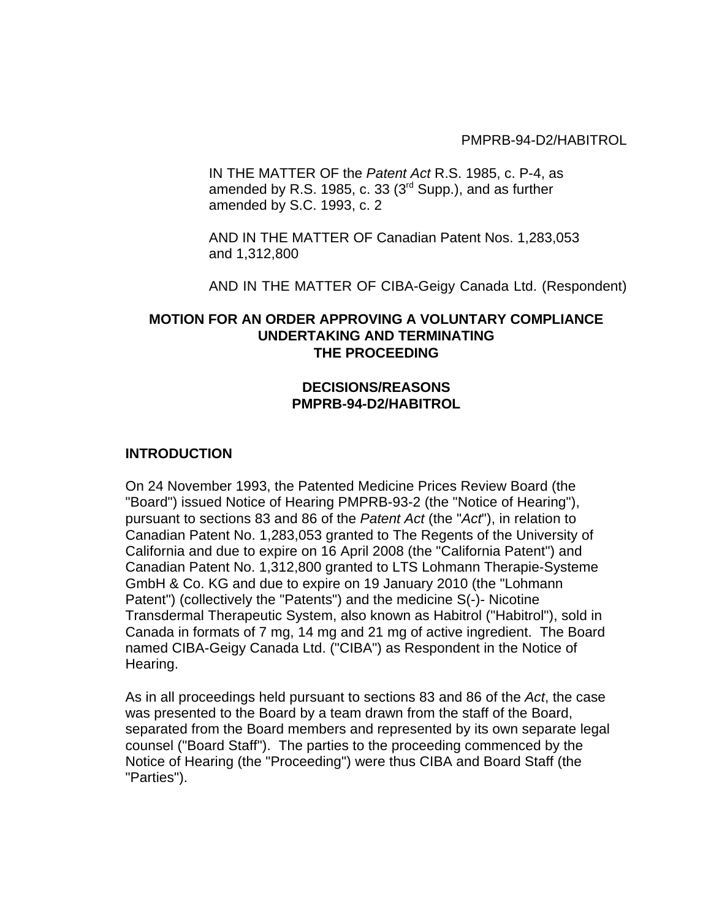PMPRB-94-D2/HABITROL

IN THE MATTER OF the *Patent Act* R.S. 1985, c. P-4, as amended by R.S. 1985, c. 33 ( $3<sup>rd</sup>$  Supp.), and as further amended by S.C. 1993, c. 2

AND IN THE MATTER OF Canadian Patent Nos. 1,283,053 and 1,312,800

AND IN THE MATTER OF CIBA-Geigy Canada Ltd. (Respondent)

## **MOTION FOR AN ORDER APPROVING A VOLUNTARY COMPLIANCE UNDERTAKING AND TERMINATING THE PROCEEDING**

### **DECISIONS/REASONS PMPRB-94-D2/HABITROL**

#### **INTRODUCTION**

On 24 November 1993, the Patented Medicine Prices Review Board (the "Board") issued Notice of Hearing PMPRB-93-2 (the "Notice of Hearing"), pursuant to sections 83 and 86 of the *Patent Act* (the "*Act*"), in relation to Canadian Patent No. 1,283,053 granted to The Regents of the University of California and due to expire on 16 April 2008 (the "California Patent") and Canadian Patent No. 1,312,800 granted to LTS Lohmann Therapie-Systeme GmbH & Co. KG and due to expire on 19 January 2010 (the "Lohmann Patent") (collectively the "Patents") and the medicine S(-)- Nicotine Transdermal Therapeutic System, also known as Habitrol ("Habitrol"), sold in Canada in formats of 7 mg, 14 mg and 21 mg of active ingredient. The Board named CIBA-Geigy Canada Ltd. ("CIBA") as Respondent in the Notice of Hearing.

As in all proceedings held pursuant to sections 83 and 86 of the *Act*, the case was presented to the Board by a team drawn from the staff of the Board, separated from the Board members and represented by its own separate legal counsel ("Board Staff"). The parties to the proceeding commenced by the Notice of Hearing (the "Proceeding") were thus CIBA and Board Staff (the "Parties").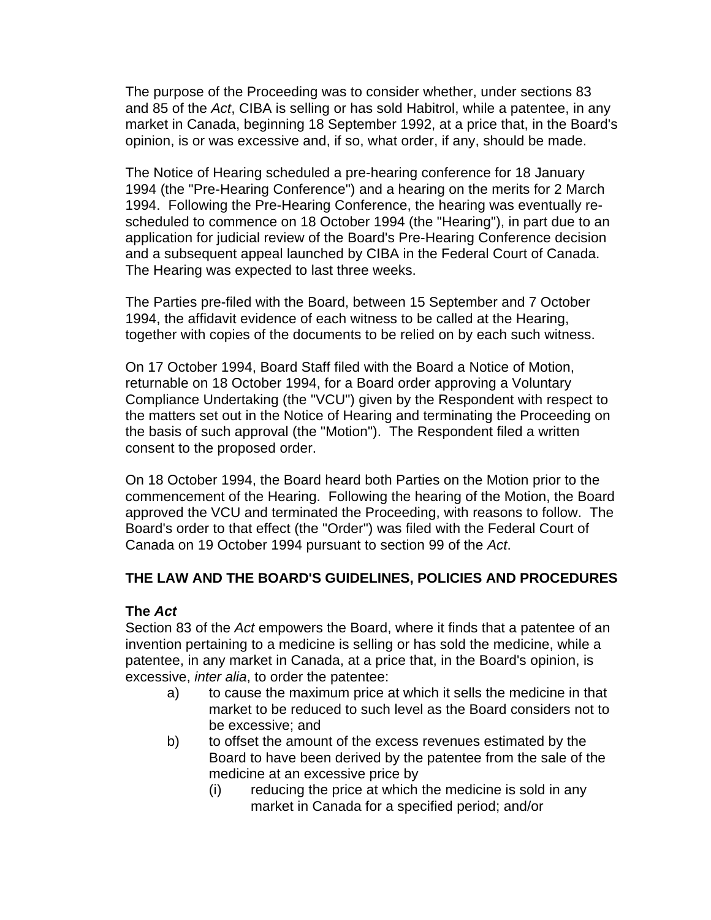The purpose of the Proceeding was to consider whether, under sections 83 and 85 of the *Act*, CIBA is selling or has sold Habitrol, while a patentee, in any market in Canada, beginning 18 September 1992, at a price that, in the Board's opinion, is or was excessive and, if so, what order, if any, should be made.

The Notice of Hearing scheduled a pre-hearing conference for 18 January 1994 (the "Pre-Hearing Conference") and a hearing on the merits for 2 March 1994. Following the Pre-Hearing Conference, the hearing was eventually rescheduled to commence on 18 October 1994 (the "Hearing"), in part due to an application for judicial review of the Board's Pre-Hearing Conference decision and a subsequent appeal launched by CIBA in the Federal Court of Canada. The Hearing was expected to last three weeks.

The Parties pre-filed with the Board, between 15 September and 7 October 1994, the affidavit evidence of each witness to be called at the Hearing, together with copies of the documents to be relied on by each such witness.

On 17 October 1994, Board Staff filed with the Board a Notice of Motion, returnable on 18 October 1994, for a Board order approving a Voluntary Compliance Undertaking (the "VCU") given by the Respondent with respect to the matters set out in the Notice of Hearing and terminating the Proceeding on the basis of such approval (the "Motion"). The Respondent filed a written consent to the proposed order.

On 18 October 1994, the Board heard both Parties on the Motion prior to the commencement of the Hearing. Following the hearing of the Motion, the Board approved the VCU and terminated the Proceeding, with reasons to follow. The Board's order to that effect (the "Order") was filed with the Federal Court of Canada on 19 October 1994 pursuant to section 99 of the *Act*.

# **THE LAW AND THE BOARD'S GUIDELINES, POLICIES AND PROCEDURES**

## **The** *Act*

Section 83 of the *Act* empowers the Board, where it finds that a patentee of an invention pertaining to a medicine is selling or has sold the medicine, while a patentee, in any market in Canada, at a price that, in the Board's opinion, is excessive, *inter alia*, to order the patentee:

- a) to cause the maximum price at which it sells the medicine in that market to be reduced to such level as the Board considers not to be excessive; and
- b) to offset the amount of the excess revenues estimated by the Board to have been derived by the patentee from the sale of the medicine at an excessive price by
	- (i) reducing the price at which the medicine is sold in any market in Canada for a specified period; and/or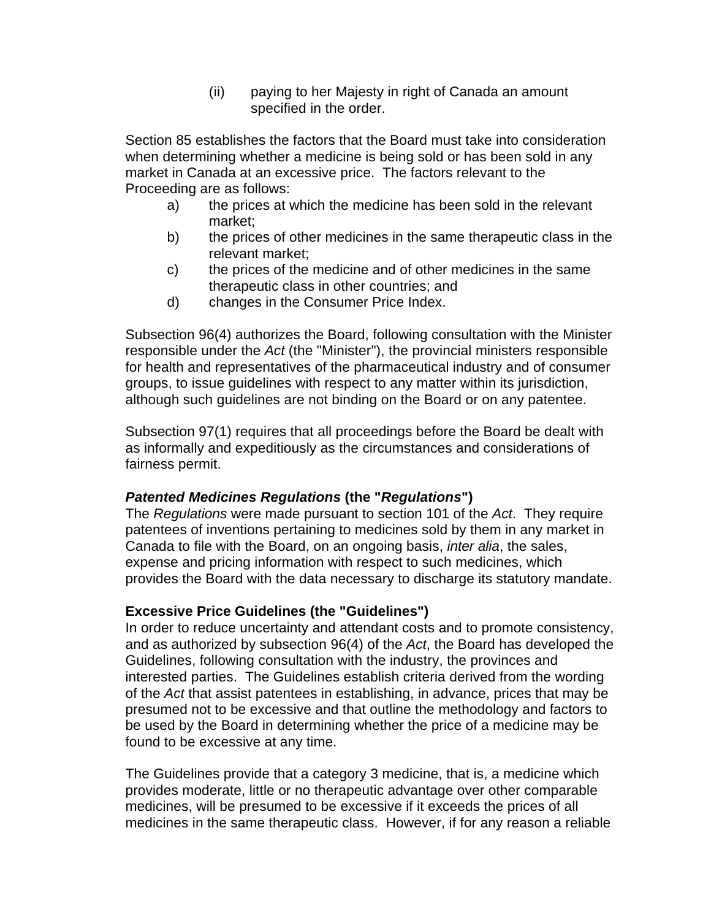(ii) paying to her Majesty in right of Canada an amount specified in the order.

Section 85 establishes the factors that the Board must take into consideration when determining whether a medicine is being sold or has been sold in any market in Canada at an excessive price. The factors relevant to the Proceeding are as follows:

- a) the prices at which the medicine has been sold in the relevant market;
- b) the prices of other medicines in the same therapeutic class in the relevant market;
- c) the prices of the medicine and of other medicines in the same therapeutic class in other countries; and
- d) changes in the Consumer Price Index.

Subsection 96(4) authorizes the Board, following consultation with the Minister responsible under the *Act* (the "Minister"), the provincial ministers responsible for health and representatives of the pharmaceutical industry and of consumer groups, to issue guidelines with respect to any matter within its jurisdiction, although such guidelines are not binding on the Board or on any patentee.

Subsection 97(1) requires that all proceedings before the Board be dealt with as informally and expeditiously as the circumstances and considerations of fairness permit.

# *Patented Medicines Regulations* **(the "***Regulations***")**

The *Regulations* were made pursuant to section 101 of the *Act*. They require patentees of inventions pertaining to medicines sold by them in any market in Canada to file with the Board, on an ongoing basis, *inter alia*, the sales, expense and pricing information with respect to such medicines, which provides the Board with the data necessary to discharge its statutory mandate.

## **Excessive Price Guidelines (the "Guidelines")**

In order to reduce uncertainty and attendant costs and to promote consistency, and as authorized by subsection 96(4) of the *Act*, the Board has developed the Guidelines, following consultation with the industry, the provinces and interested parties. The Guidelines establish criteria derived from the wording of the *Act* that assist patentees in establishing, in advance, prices that may be presumed not to be excessive and that outline the methodology and factors to be used by the Board in determining whether the price of a medicine may be found to be excessive at any time.

The Guidelines provide that a category 3 medicine, that is, a medicine which provides moderate, little or no therapeutic advantage over other comparable medicines, will be presumed to be excessive if it exceeds the prices of all medicines in the same therapeutic class. However, if for any reason a reliable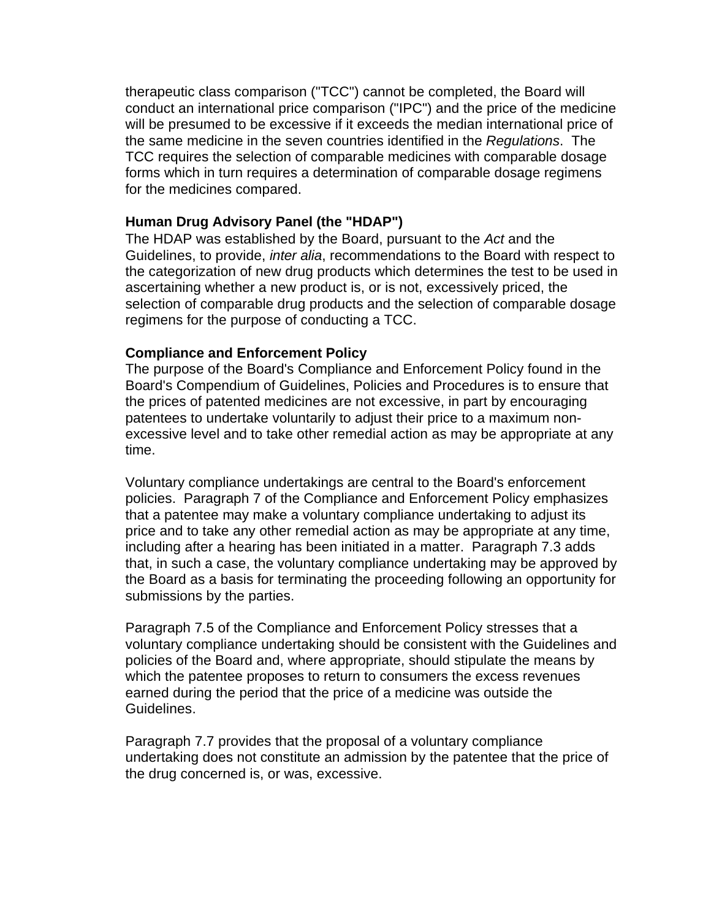therapeutic class comparison ("TCC") cannot be completed, the Board will conduct an international price comparison ("IPC") and the price of the medicine will be presumed to be excessive if it exceeds the median international price of the same medicine in the seven countries identified in the *Regulations*. The TCC requires the selection of comparable medicines with comparable dosage forms which in turn requires a determination of comparable dosage regimens for the medicines compared.

### **Human Drug Advisory Panel (the "HDAP")**

The HDAP was established by the Board, pursuant to the *Act* and the Guidelines, to provide, *inter alia*, recommendations to the Board with respect to the categorization of new drug products which determines the test to be used in ascertaining whether a new product is, or is not, excessively priced, the selection of comparable drug products and the selection of comparable dosage regimens for the purpose of conducting a TCC.

### **Compliance and Enforcement Policy**

The purpose of the Board's Compliance and Enforcement Policy found in the Board's Compendium of Guidelines, Policies and Procedures is to ensure that the prices of patented medicines are not excessive, in part by encouraging patentees to undertake voluntarily to adjust their price to a maximum nonexcessive level and to take other remedial action as may be appropriate at any time.

Voluntary compliance undertakings are central to the Board's enforcement policies. Paragraph 7 of the Compliance and Enforcement Policy emphasizes that a patentee may make a voluntary compliance undertaking to adjust its price and to take any other remedial action as may be appropriate at any time, including after a hearing has been initiated in a matter. Paragraph 7.3 adds that, in such a case, the voluntary compliance undertaking may be approved by the Board as a basis for terminating the proceeding following an opportunity for submissions by the parties.

Paragraph 7.5 of the Compliance and Enforcement Policy stresses that a voluntary compliance undertaking should be consistent with the Guidelines and policies of the Board and, where appropriate, should stipulate the means by which the patentee proposes to return to consumers the excess revenues earned during the period that the price of a medicine was outside the Guidelines.

Paragraph 7.7 provides that the proposal of a voluntary compliance undertaking does not constitute an admission by the patentee that the price of the drug concerned is, or was, excessive.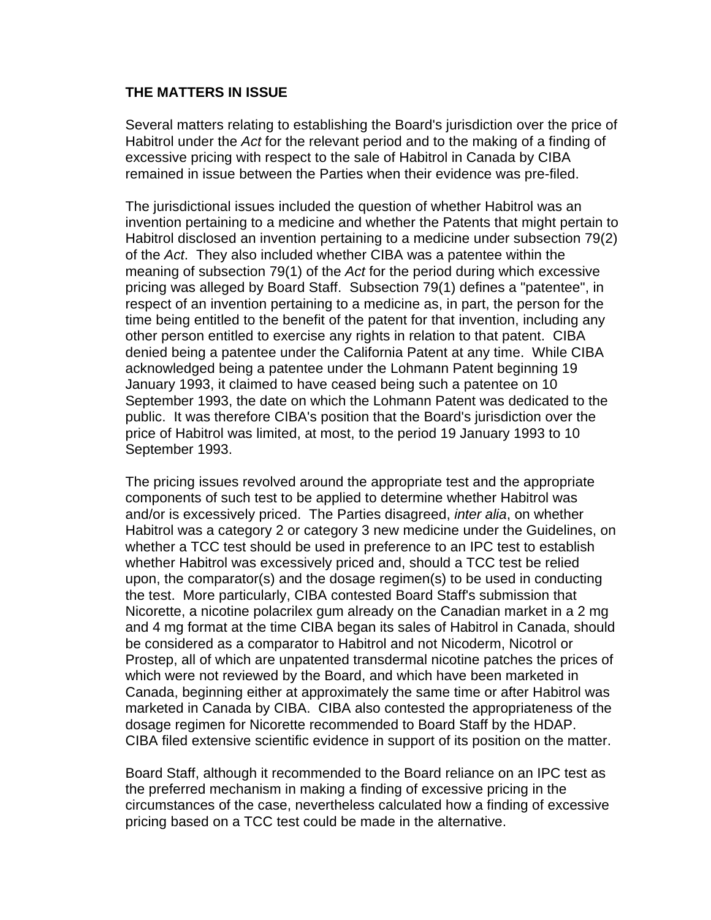#### **THE MATTERS IN ISSUE**

Several matters relating to establishing the Board's jurisdiction over the price of Habitrol under the *Act* for the relevant period and to the making of a finding of excessive pricing with respect to the sale of Habitrol in Canada by CIBA remained in issue between the Parties when their evidence was pre-filed.

The jurisdictional issues included the question of whether Habitrol was an invention pertaining to a medicine and whether the Patents that might pertain to Habitrol disclosed an invention pertaining to a medicine under subsection 79(2) of the *Act*. They also included whether CIBA was a patentee within the meaning of subsection 79(1) of the *Act* for the period during which excessive pricing was alleged by Board Staff. Subsection 79(1) defines a "patentee", in respect of an invention pertaining to a medicine as, in part, the person for the time being entitled to the benefit of the patent for that invention, including any other person entitled to exercise any rights in relation to that patent. CIBA denied being a patentee under the California Patent at any time. While CIBA acknowledged being a patentee under the Lohmann Patent beginning 19 January 1993, it claimed to have ceased being such a patentee on 10 September 1993, the date on which the Lohmann Patent was dedicated to the public. It was therefore CIBA's position that the Board's jurisdiction over the price of Habitrol was limited, at most, to the period 19 January 1993 to 10 September 1993.

The pricing issues revolved around the appropriate test and the appropriate components of such test to be applied to determine whether Habitrol was and/or is excessively priced. The Parties disagreed, *inter alia*, on whether Habitrol was a category 2 or category 3 new medicine under the Guidelines, on whether a TCC test should be used in preference to an IPC test to establish whether Habitrol was excessively priced and, should a TCC test be relied upon, the comparator(s) and the dosage regimen(s) to be used in conducting the test. More particularly, CIBA contested Board Staff's submission that Nicorette, a nicotine polacrilex gum already on the Canadian market in a 2 mg and 4 mg format at the time CIBA began its sales of Habitrol in Canada, should be considered as a comparator to Habitrol and not Nicoderm, Nicotrol or Prostep, all of which are unpatented transdermal nicotine patches the prices of which were not reviewed by the Board, and which have been marketed in Canada, beginning either at approximately the same time or after Habitrol was marketed in Canada by CIBA. CIBA also contested the appropriateness of the dosage regimen for Nicorette recommended to Board Staff by the HDAP. CIBA filed extensive scientific evidence in support of its position on the matter.

Board Staff, although it recommended to the Board reliance on an IPC test as the preferred mechanism in making a finding of excessive pricing in the circumstances of the case, nevertheless calculated how a finding of excessive pricing based on a TCC test could be made in the alternative.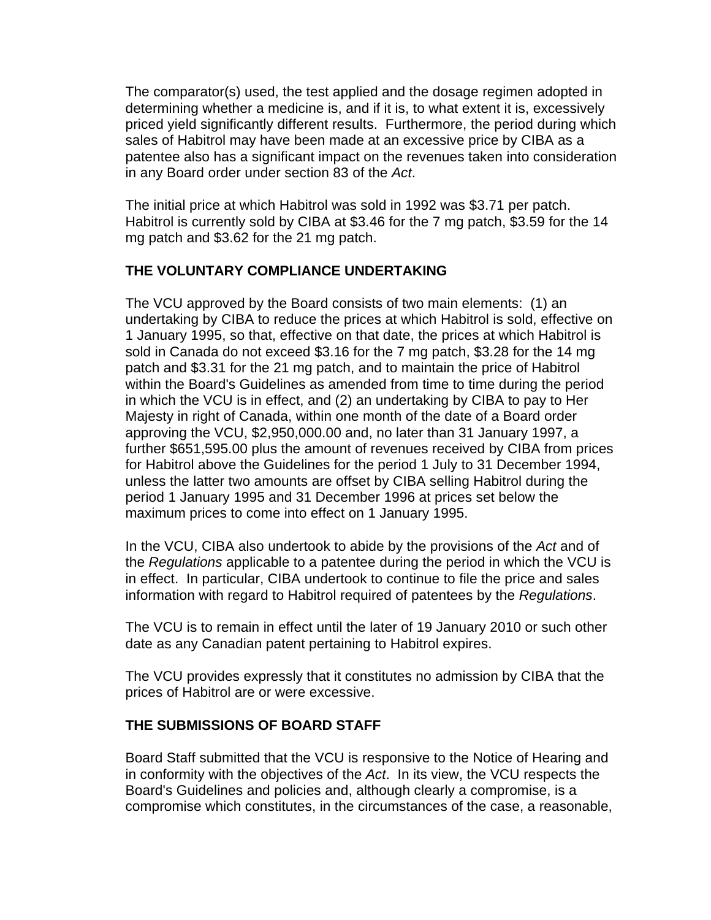The comparator(s) used, the test applied and the dosage regimen adopted in determining whether a medicine is, and if it is, to what extent it is, excessively priced yield significantly different results. Furthermore, the period during which sales of Habitrol may have been made at an excessive price by CIBA as a patentee also has a significant impact on the revenues taken into consideration in any Board order under section 83 of the *Act*.

The initial price at which Habitrol was sold in 1992 was \$3.71 per patch. Habitrol is currently sold by CIBA at \$3.46 for the 7 mg patch, \$3.59 for the 14 mg patch and \$3.62 for the 21 mg patch.

# **THE VOLUNTARY COMPLIANCE UNDERTAKING**

The VCU approved by the Board consists of two main elements: (1) an undertaking by CIBA to reduce the prices at which Habitrol is sold, effective on 1 January 1995, so that, effective on that date, the prices at which Habitrol is sold in Canada do not exceed \$3.16 for the 7 mg patch, \$3.28 for the 14 mg patch and \$3.31 for the 21 mg patch, and to maintain the price of Habitrol within the Board's Guidelines as amended from time to time during the period in which the VCU is in effect, and (2) an undertaking by CIBA to pay to Her Majesty in right of Canada, within one month of the date of a Board order approving the VCU, \$2,950,000.00 and, no later than 31 January 1997, a further \$651,595.00 plus the amount of revenues received by CIBA from prices for Habitrol above the Guidelines for the period 1 July to 31 December 1994, unless the latter two amounts are offset by CIBA selling Habitrol during the period 1 January 1995 and 31 December 1996 at prices set below the maximum prices to come into effect on 1 January 1995.

In the VCU, CIBA also undertook to abide by the provisions of the *Act* and of the *Regulations* applicable to a patentee during the period in which the VCU is in effect. In particular, CIBA undertook to continue to file the price and sales information with regard to Habitrol required of patentees by the *Regulations*.

The VCU is to remain in effect until the later of 19 January 2010 or such other date as any Canadian patent pertaining to Habitrol expires.

The VCU provides expressly that it constitutes no admission by CIBA that the prices of Habitrol are or were excessive.

# **THE SUBMISSIONS OF BOARD STAFF**

Board Staff submitted that the VCU is responsive to the Notice of Hearing and in conformity with the objectives of the *Act*. In its view, the VCU respects the Board's Guidelines and policies and, although clearly a compromise, is a compromise which constitutes, in the circumstances of the case, a reasonable,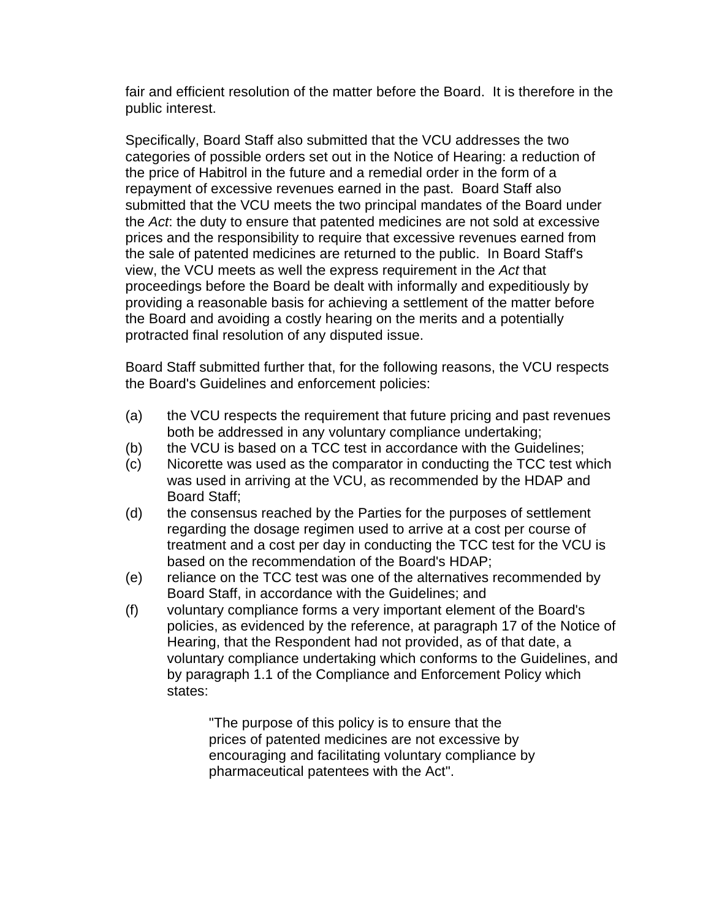fair and efficient resolution of the matter before the Board. It is therefore in the public interest.

Specifically, Board Staff also submitted that the VCU addresses the two categories of possible orders set out in the Notice of Hearing: a reduction of the price of Habitrol in the future and a remedial order in the form of a repayment of excessive revenues earned in the past. Board Staff also submitted that the VCU meets the two principal mandates of the Board under the *Act*: the duty to ensure that patented medicines are not sold at excessive prices and the responsibility to require that excessive revenues earned from the sale of patented medicines are returned to the public. In Board Staff's view, the VCU meets as well the express requirement in the *Act* that proceedings before the Board be dealt with informally and expeditiously by providing a reasonable basis for achieving a settlement of the matter before the Board and avoiding a costly hearing on the merits and a potentially protracted final resolution of any disputed issue.

Board Staff submitted further that, for the following reasons, the VCU respects the Board's Guidelines and enforcement policies:

- (a) the VCU respects the requirement that future pricing and past revenues both be addressed in any voluntary compliance undertaking;
- (b) the VCU is based on a TCC test in accordance with the Guidelines;
- (c) Nicorette was used as the comparator in conducting the TCC test which was used in arriving at the VCU, as recommended by the HDAP and Board Staff;
- (d) the consensus reached by the Parties for the purposes of settlement regarding the dosage regimen used to arrive at a cost per course of treatment and a cost per day in conducting the TCC test for the VCU is based on the recommendation of the Board's HDAP;
- (e) reliance on the TCC test was one of the alternatives recommended by Board Staff, in accordance with the Guidelines; and
- (f) voluntary compliance forms a very important element of the Board's policies, as evidenced by the reference, at paragraph 17 of the Notice of Hearing, that the Respondent had not provided, as of that date, a voluntary compliance undertaking which conforms to the Guidelines, and by paragraph 1.1 of the Compliance and Enforcement Policy which states:

"The purpose of this policy is to ensure that the prices of patented medicines are not excessive by encouraging and facilitating voluntary compliance by pharmaceutical patentees with the Act".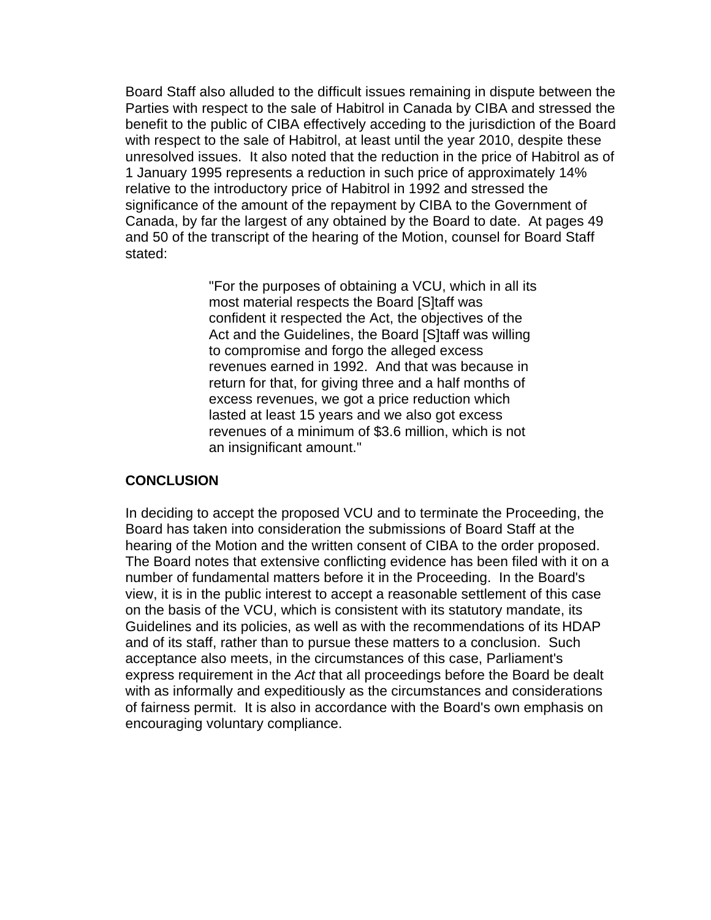Board Staff also alluded to the difficult issues remaining in dispute between the Parties with respect to the sale of Habitrol in Canada by CIBA and stressed the benefit to the public of CIBA effectively acceding to the jurisdiction of the Board with respect to the sale of Habitrol, at least until the year 2010, despite these unresolved issues. It also noted that the reduction in the price of Habitrol as of 1 January 1995 represents a reduction in such price of approximately 14% relative to the introductory price of Habitrol in 1992 and stressed the significance of the amount of the repayment by CIBA to the Government of Canada, by far the largest of any obtained by the Board to date. At pages 49 and 50 of the transcript of the hearing of the Motion, counsel for Board Staff stated:

> "For the purposes of obtaining a VCU, which in all its most material respects the Board [S]taff was confident it respected the Act, the objectives of the Act and the Guidelines, the Board [S]taff was willing to compromise and forgo the alleged excess revenues earned in 1992. And that was because in return for that, for giving three and a half months of excess revenues, we got a price reduction which lasted at least 15 years and we also got excess revenues of a minimum of \$3.6 million, which is not an insignificant amount."

#### **CONCLUSION**

In deciding to accept the proposed VCU and to terminate the Proceeding, the Board has taken into consideration the submissions of Board Staff at the hearing of the Motion and the written consent of CIBA to the order proposed. The Board notes that extensive conflicting evidence has been filed with it on a number of fundamental matters before it in the Proceeding. In the Board's view, it is in the public interest to accept a reasonable settlement of this case on the basis of the VCU, which is consistent with its statutory mandate, its Guidelines and its policies, as well as with the recommendations of its HDAP and of its staff, rather than to pursue these matters to a conclusion. Such acceptance also meets, in the circumstances of this case, Parliament's express requirement in the *Act* that all proceedings before the Board be dealt with as informally and expeditiously as the circumstances and considerations of fairness permit. It is also in accordance with the Board's own emphasis on encouraging voluntary compliance.